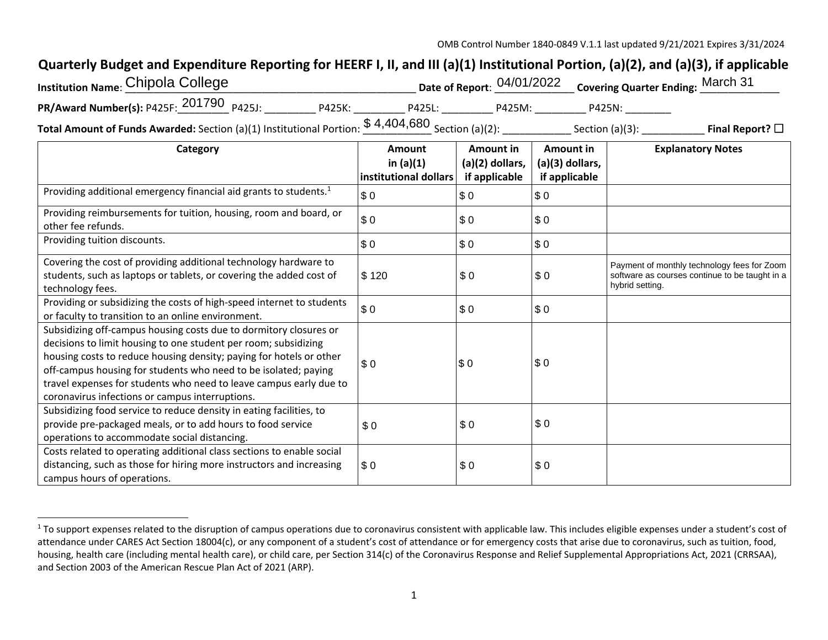## **Quarterly Budget and Expenditure Reporting for HEERF I, II, and III (a)(1) Institutional Portion, (a)(2), and (a)(3), if applicable**

| <b>Institution Name: Chipola College</b> |        |                                 |        | Date of Report: 04/01/2022 Covering Quarter Ending: March 31 |  |
|------------------------------------------|--------|---------------------------------|--------|--------------------------------------------------------------|--|
| PR/Award Number(s): P425F: 201790 P425J: | P425K: | P425L:                          | P425M: | P425N:                                                       |  |
|                                          |        | $P$ $A$ $A$ $D$ $A$ $R$ $D$ $D$ |        |                                                              |  |

**Total Amount of Funds Awarded:** Section (a)(1) Institutional Portion: \_\_\_\_\_\_\_\_\_\_\_\_ Section (a)(2): \_\_\_\_\_\_\_\_\_\_\_\_ Section (a)(3): \_\_\_\_\_\_\_\_\_\_\_ **Final Report?** ☐\$ 4,404,680

| Category                                                                                                                                                                                                                                                                                                                                                                                                | Amount                               | Amount in                        | Amount in                          | <b>Explanatory Notes</b>                                                                                         |
|---------------------------------------------------------------------------------------------------------------------------------------------------------------------------------------------------------------------------------------------------------------------------------------------------------------------------------------------------------------------------------------------------------|--------------------------------------|----------------------------------|------------------------------------|------------------------------------------------------------------------------------------------------------------|
|                                                                                                                                                                                                                                                                                                                                                                                                         | in $(a)(1)$<br>institutional dollars | (a)(2) dollars,<br>if applicable | $(a)(3)$ dollars,<br>if applicable |                                                                                                                  |
| Providing additional emergency financial aid grants to students. <sup>1</sup>                                                                                                                                                                                                                                                                                                                           | \$0                                  | \$0                              | \$0                                |                                                                                                                  |
| Providing reimbursements for tuition, housing, room and board, or<br>other fee refunds.                                                                                                                                                                                                                                                                                                                 | \$0                                  | \$0                              | \$0                                |                                                                                                                  |
| Providing tuition discounts.                                                                                                                                                                                                                                                                                                                                                                            | \$0                                  | \$0                              | \$0                                |                                                                                                                  |
| Covering the cost of providing additional technology hardware to<br>students, such as laptops or tablets, or covering the added cost of<br>technology fees.                                                                                                                                                                                                                                             | \$120                                | \$0                              | \$0                                | Payment of monthly technology fees for Zoom<br>software as courses continue to be taught in a<br>hybrid setting. |
| Providing or subsidizing the costs of high-speed internet to students<br>or faculty to transition to an online environment.                                                                                                                                                                                                                                                                             | \$0                                  | \$0                              | \$0                                |                                                                                                                  |
| Subsidizing off-campus housing costs due to dormitory closures or<br>decisions to limit housing to one student per room; subsidizing<br>housing costs to reduce housing density; paying for hotels or other<br>off-campus housing for students who need to be isolated; paying<br>travel expenses for students who need to leave campus early due to<br>coronavirus infections or campus interruptions. | \$0                                  | \$0                              | \$0                                |                                                                                                                  |
| Subsidizing food service to reduce density in eating facilities, to<br>provide pre-packaged meals, or to add hours to food service<br>operations to accommodate social distancing.                                                                                                                                                                                                                      | \$0                                  | \$0                              | \$0                                |                                                                                                                  |
| Costs related to operating additional class sections to enable social<br>distancing, such as those for hiring more instructors and increasing<br>campus hours of operations.                                                                                                                                                                                                                            | \$0                                  | \$0                              | \$0                                |                                                                                                                  |

<sup>&</sup>lt;sup>1</sup> To support expenses related to the disruption of campus operations due to coronavirus consistent with applicable law. This includes eligible expenses under a student's cost of attendance under CARES Act Section 18004(c), or any component of a student's cost of attendance or for emergency costs that arise due to coronavirus, such as tuition, food, housing, health care (including mental health care), or child care, per Section 314(c) of the Coronavirus Response and Relief Supplemental Appropriations Act, 2021 (CRRSAA), and Section 2003 of the American Rescue Plan Act of 2021 (ARP).